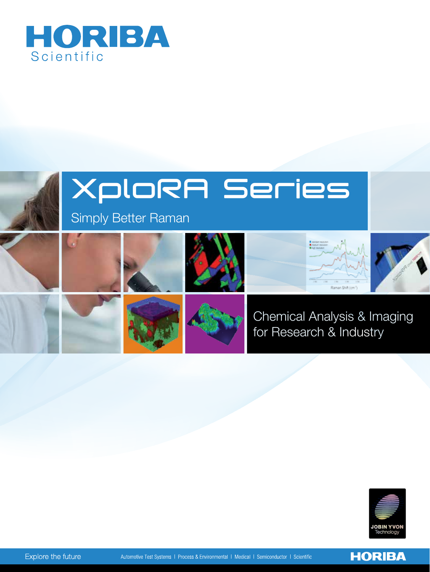





**HORIBA**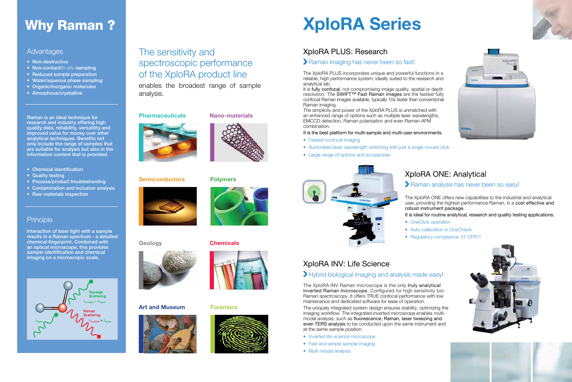#### **Advantages**

- Non-destructive
- • Non-contact/*In-situ* sampling
- Reduced sample preparation
- Water/aqueous phase sampling
- Organic/inorganic molecules
- Amorphous/crystalline

## The sensitivity and spectroscopic performance of the XploRA product line

enables the broadest range of sample analysis.

#### **Pharmaceuticals** Nano-materials







#### Art and Museum Forensics







# Why Raman ? Note that More that More is a North Series

## XploRA PLUS: Research

#### Raman imaging has never been so fast!

The XploRA PLUS incorporates unique and powerful functions in a reliable, high performance system, ideally suited to the research and analytical lab.

It is fully confocal, not compromising image quality, spatial or depth resolution. The SWIFT™ Fast Raman images are the fastest fully confocal Raman images available, typically 10x faster than conventional Raman imaging.

- Fastest confocal imaging
- Automated laser wavelength switching with just a single mouse click
- • Large range of options and accessories



The XploRA ONE offers new capabilities to the industrial and analytical user, providing the highest performance Raman, in a cost effective and robust instrument package. It is ideal for routine analytical, research and quality testing applications. • OneClick operation

- 
- 
- 

The simplicity and power of the XploRA PLUS is unmatched with an enhanced range of options such as multiple laser wavelengths, EMCCD detection, Raman polarisation and even Raman-AFM combination.

#### It is the best platform for multi-sample and multi-user environments.

## XploRA ONE: Analytical

#### Raman analysis has never been so easy!

• Auto-calibration in OneCheck • Regulatory compliance: 21 CFR11









## XploRA INV: Life Science

#### Hybrid biological imaging and analysis made easy!

The XploRA INV Raman microscope is the only truly analytical inverted Raman microscope. Configured for high sensitivity bio-Raman spectroscopy. It offers TRUE confocal performance with low maintenance and dedicated software for ease of operation.

The uniquely integrated system design ensures stability, optimizing the imaging workflow. The integrated inverted microscope enables multimodal analysis, such as fluorescence, Raman, laser tweezing and even TERS analysis to be conducted upon the same instrument and at the same sample position.

- Inverted life-science microscope
- Fast and simple sample imaging
- Multi-modal analysis



# Semiconductors Polymers



Geology **Chemicals** 



Raman is an ideal technique for research and industry offering high quality data, reliability, versatility and improved value for money over other analytical techniques. Benefits not only include the range of samples that are suitable for analysis but also in the information content that is provided.

- Chemical identification
- Quality testing
- Process/product troubleshooting
- Contamination and inclusion analysis
- Raw materials inspection

### **Principle**

Interaction of laser light with a sample results in a Raman spectrum - a detailed chemical fingerprint. Combined with an optical microscope, this provides sample identification and chemical imaging on a microscopic scale.

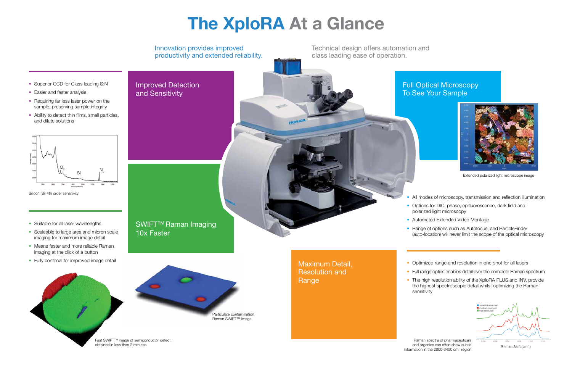

Extended polarized light microscope image

# The XploRA At a Glance

- All modes of microscopy, transmission and reflection illumination
- Options for DIC, phase, epifluorescence, dark field and polarized light microscopy
- Automated Extended Video Montage
- Range of options such as Autofocus, and ParticleFinder (auto-location) will never limit the scope of the optical microscopy

• Optimized range and resolution in one-shot for all lasers

- Full range optics enables detail over the complete Raman spectrum
- The high resolution ability of the XploRA PLUS and INV, provide the highest spectroscopic detail whilst optimizing the Raman



- Easier and faster analysis
- Requiring far less laser power on the sample, preserving sample integrity
- Ability to detect thin films, small particles, and dilute solutions



Raman spectra of pharmaceuticals and organics can often show subtle

Silicon (Si) 4th order sensitivity

- Suitable for all laser wavelengths
- Scaleable to large area and micron scale imaging for maximum image detail
- Means faster and more reliable Raman imaging at the click of a button
- Fully confocal for improved image detail

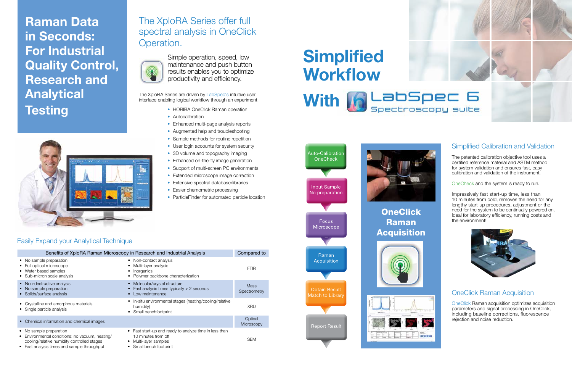

Focus **Microscope** 

Raman **Acquisition** 

No preparation

**OneClick** Raman Acquisition





Obtain Result Match to Library

Raman Data in Seconds: For Industrial Quality Control, Research and Analytical **Testing** 



Report Result



## The XploRA Series offer full spectral analysis in OneClick Operation.



| Benefits of XploRA Raman Microscopy in Research and Industrial Analysis                                                                                            |                                                                                                                                                 |                              |
|--------------------------------------------------------------------------------------------------------------------------------------------------------------------|-------------------------------------------------------------------------------------------------------------------------------------------------|------------------------------|
| • No sample preparation<br>• Full optical microscope<br>• Water based samples<br>• Sub-micron scale analysis                                                       | • Non-contact analysis<br>Multi-layer analysis<br>Inorganics<br>Polymer backbone characterization                                               | <b>FTIR</b>                  |
| • Non-destructive analysis<br>• No sample preparation<br>• Solids/surface analysis                                                                                 | Molecular/crystal structure<br>Fast analysis times typically > 2 seconds<br>Low maintenance                                                     | <b>Mass</b><br>Spectrometry  |
| • Crystalline and amorphous materials<br>Single particle analysis                                                                                                  | • In-situ environmental stages (heating/cooling/relative<br>humidity)<br>Small benchfootprint                                                   | <b>XRD</b>                   |
| Chemical information and chemical images<br>$\bullet$                                                                                                              |                                                                                                                                                 | Optical<br><b>Microscopy</b> |
| No sample preparation<br>Environmental conditions: no vacuum, heating/<br>cooling/relative humidity controlled stages<br>Fast analysis times and sample throughput | • Fast start-up and ready to analyze time in less than<br>10 minutes from off<br>Multi-layer samples<br>$\bullet$<br>Small bench footprint<br>٠ | <b>SEM</b>                   |



Simple operation, speed, low maintenance and push button results enables you to optimize productivity and efficiency.

The XploRA Series are driven by LabSpec's intuitive user interface enabling logical workflow through an experiment.

- HORIBA OneClick Raman operation
- Autocalibration
- Enhanced multi-page analysis reports
- Augmented help and troubleshooting
- Sample methods for routine repetition
- User login accounts for system security
- 3D volume and topography imaging
- Enhanced on-the-fly image generation
- Support of multi-screen PC environments
- Extended microscope image correction
- Extensive spectral database/libraries
- Easier chemometric processing
- ParticleFinder for automated particle location

# **Simplified Workflow**

### Easily Expand your Analytical Technique

### Simplified Calibration and Validation

The patented calibration objective tool uses a certified reference material and ASTM method for system validation and ensures fast, easy calibration and validation of the instrument.

OneCheck and the system is ready to run.

Impressively fast start-up time, less than 10 minutes from cold, removes the need for any lengthy start-up procedures, adjustment or the need for the system to be continually powered on. Ideal for laboratory efficiency, running costs and the environment!



#### OneClick Raman Acquisition

OneClick Raman acquisition optimizes acquisition parameters and signal processing in OneClick, including baseline corrections, fluorescence rejection and noise reduction.